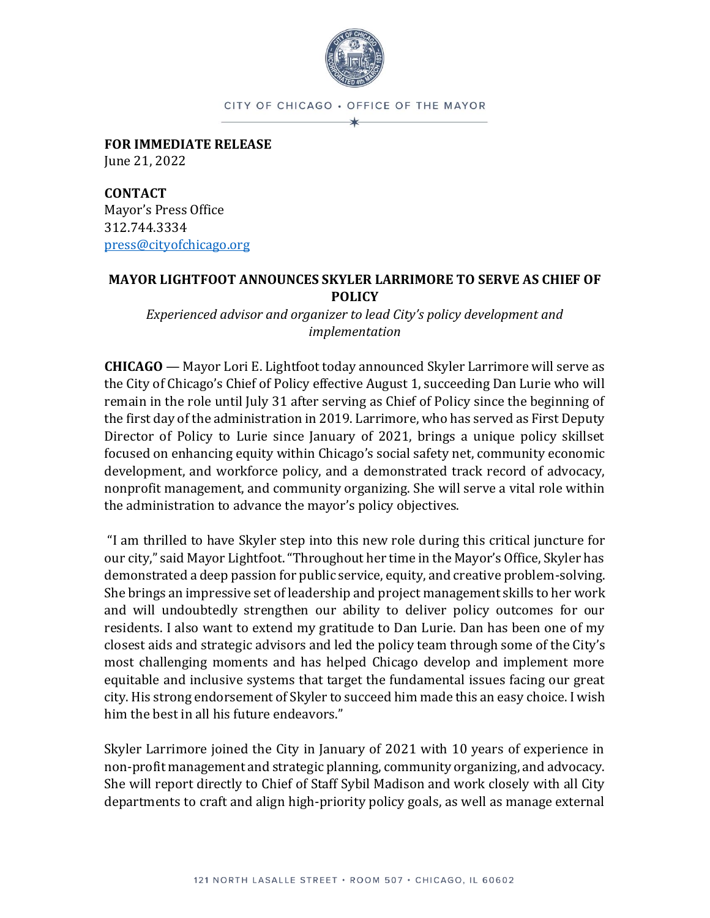

CITY OF CHICAGO . OFFICE OF THE MAYOR

**FOR IMMEDIATE RELEASE** June 21, 2022

**CONTACT** Mayor's Press Office 312.744.3334 [press@cityofchicago.org](mailto:press@cityofchicago.org)

## **MAYOR LIGHTFOOT ANNOUNCES SKYLER LARRIMORE TO SERVE AS CHIEF OF POLICY**

*Experienced advisor and organizer to lead City's policy development and implementation*

**CHICAGO** — Mayor Lori E. Lightfoot today announced Skyler Larrimore will serve as the City of Chicago's Chief of Policy effective August 1, succeeding Dan Lurie who will remain in the role until July 31 after serving as Chief of Policy since the beginning of the first day of the administration in 2019. Larrimore, who has served as First Deputy Director of Policy to Lurie since January of 2021, brings a unique policy skillset focused on enhancing equity within Chicago's social safety net, community economic development, and workforce policy, and a demonstrated track record of advocacy, nonprofit management, and community organizing. She will serve a vital role within the administration to advance the mayor's policy objectives.

"I am thrilled to have Skyler step into this new role during this critical juncture for our city," said Mayor Lightfoot. "Throughout her time in the Mayor's Office, Skyler has demonstrated a deep passion for public service, equity, and creative problem-solving. She brings an impressive set of leadership and project management skills to her work and will undoubtedly strengthen our ability to deliver policy outcomes for our residents. I also want to extend my gratitude to Dan Lurie. Dan has been one of my closest aids and strategic advisors and led the policy team through some of the City's most challenging moments and has helped Chicago develop and implement more equitable and inclusive systems that target the fundamental issues facing our great city. His strong endorsement of Skyler to succeed him made this an easy choice. I wish him the best in all his future endeavors."

Skyler Larrimore joined the City in January of 2021 with 10 years of experience in non-profit management and strategic planning, community organizing, and advocacy. She will report directly to Chief of Staff Sybil Madison and work closely with all City departments to craft and align high-priority policy goals, as well as manage external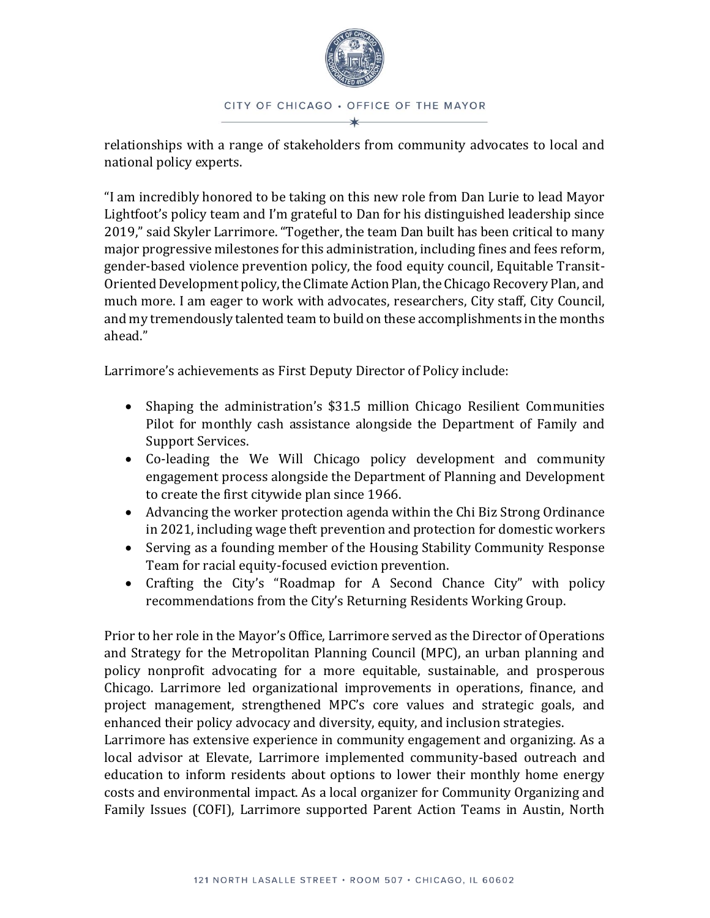

relationships with a range of stakeholders from community advocates to local and national policy experts.

"I am incredibly honored to be taking on this new role from Dan Lurie to lead Mayor Lightfoot's policy team and I'm grateful to Dan for his distinguished leadership since 2019," said Skyler Larrimore. "Together, the team Dan built has been critical to many major progressive milestones for this administration, including fines and fees reform, gender-based violence prevention policy, the food equity council, Equitable Transit-Oriented Development policy, the Climate Action Plan, the Chicago Recovery Plan, and much more. I am eager to work with advocates, researchers, City staff, City Council, and my tremendously talented team to build on these accomplishments in the months ahead."

Larrimore's achievements as First Deputy Director of Policy include:

- Shaping the administration's \$31.5 million Chicago Resilient Communities Pilot for monthly cash assistance alongside the Department of Family and Support Services.
- Co-leading the We Will Chicago policy development and community engagement process alongside the Department of Planning and Development to create the first citywide plan since 1966.
- Advancing the worker protection agenda within the Chi Biz Strong Ordinance in 2021, including wage theft prevention and protection for domestic workers
- Serving as a founding member of the Housing Stability Community Response Team for racial equity-focused eviction prevention.
- Crafting the City's "Roadmap for A Second Chance City" with policy recommendations from the City's Returning Residents Working Group.

Prior to her role in the Mayor's Office, Larrimore served as the Director of Operations and Strategy for the Metropolitan Planning Council (MPC), an urban planning and policy nonprofit advocating for a more equitable, sustainable, and prosperous Chicago. Larrimore led organizational improvements in operations, finance, and project management, strengthened MPC's core values and strategic goals, and enhanced their policy advocacy and diversity, equity, and inclusion strategies.

Larrimore has extensive experience in community engagement and organizing. As a local advisor at Elevate, Larrimore implemented community-based outreach and education to inform residents about options to lower their monthly home energy costs and environmental impact. As a local organizer for Community Organizing and Family Issues (COFI), Larrimore supported Parent Action Teams in Austin, North